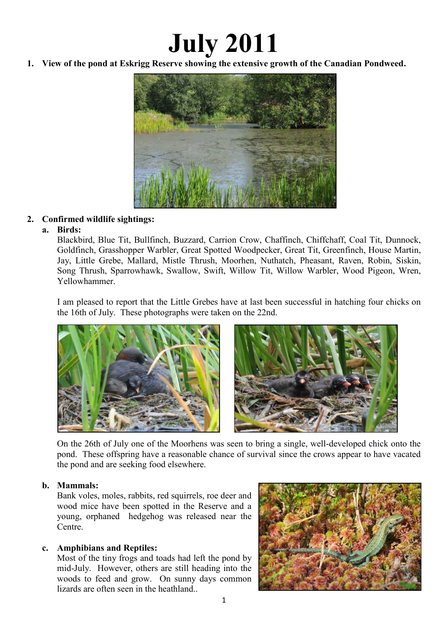# **July 2011**

**1. View of the pond at Eskrigg Reserve showing the extensive growth of the Canadian Pondweed.** 



# **2. Confirmed wildlife sightings:**

## **a. Birds:**

Blackbird, Blue Tit, Bullfinch, Buzzard, Carrion Crow, Chaffinch, Chiffchaff, Coal Tit, Dunnock, Goldfinch, Grasshopper Warbler, Great Spotted Woodpecker, Great Tit, Greenfinch, House Martin, Jay, Little Grebe, Mallard, Mistle Thrush, Moorhen, Nuthatch, Pheasant, Raven, Robin, Siskin, Song Thrush, Sparrowhawk, Swallow, Swift, Willow Tit, Willow Warbler, Wood Pigeon, Wren, Yellowhammer.

I am pleased to report that the Little Grebes have at last been successful in hatching four chicks on the 16th of July. These photographs were taken on the 22nd.



On the 26th of July one of the Moorhens was seen to bring a single, well-developed chick onto the pond. These offspring have a reasonable chance of survival since the crows appear to have vacated the pond and are seeking food elsewhere.

## **b. Mammals:**

Bank voles, moles, rabbits, red squirrels, roe deer and wood mice have been spotted in the Reserve and a young, orphaned hedgehog was released near the Centre.

# **c. Amphibians and Reptiles:**

Most of the tiny frogs and toads had left the pond by mid-July. However, others are still heading into the woods to feed and grow. On sunny days common lizards are often seen in the heathland...

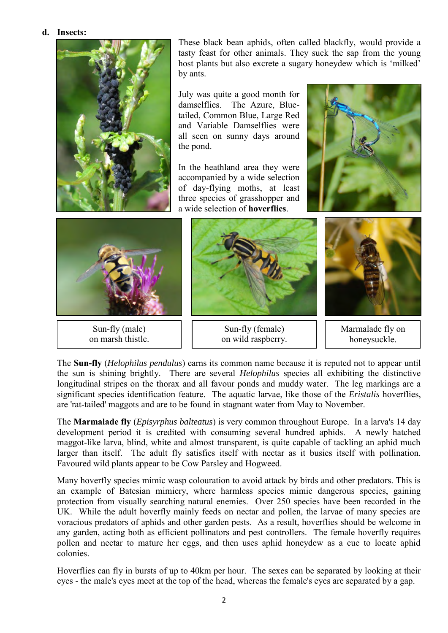#### **d. Insects:**



These black bean aphids, often called blackfly, would provide a tasty feast for other animals. They suck the sap from the young host plants but also excrete a sugary honeydew which is 'milked' by ants.

July was quite a good month for damselflies. The Azure, Bluetailed, Common Blue, Large Red and Variable Damselflies were all seen on sunny days around the pond.

In the heathland area they were accompanied by a wide selection of day-flying moths, at least three species of grasshopper and a wide selection of **hoverflies**.





Sun-fly (male) on marsh thistle.



Sun-fly (female) on wild raspberry.



Marmalade fly on honeysuckle.

The **Sun-fly** (*Helophilus pendulus*) earns its common name because it is reputed not to appear until the sun is shining brightly. There are several *Helophilus* species all exhibiting the distinctive longitudinal stripes on the thorax and all favour ponds and muddy water. The leg markings are a significant species identification feature. The aquatic larvae, like those of the *Eristalis* hoverflies, are 'rat-tailed' maggots and are to be found in stagnant water from May to November.

The **Marmalade fly** (*Episyrphus balteatus*) is very common throughout Europe. In a larva's 14 day development period it is credited with consuming several hundred aphids. A newly hatched maggot-like larva, blind, white and almost transparent, is quite capable of tackling an aphid much larger than itself. The adult fly satisfies itself with nectar as it busies itself with pollination. Favoured wild plants appear to be Cow Parsley and Hogweed.

Many hoverfly species mimic wasp colouration to avoid attack by birds and other predators. This is an example of Batesian mimicry, where harmless species mimic dangerous species, gaining protection from visually searching natural enemies. Over 250 species have been recorded in the UK. While the adult hoverfly mainly feeds on nectar and pollen, the larvae of many species are voracious predators of aphids and other garden pests. As a result, hoverflies should be welcome in any garden, acting both as efficient pollinators and pest controllers. The female hoverfly requires pollen and nectar to mature her eggs, and then uses aphid honeydew as a cue to locate aphid colonies.

Hoverflies can fly in bursts of up to 40km per hour. The sexes can be separated by looking at their eyes - the male's eyes meet at the top of the head, whereas the female's eyes are separated by a gap.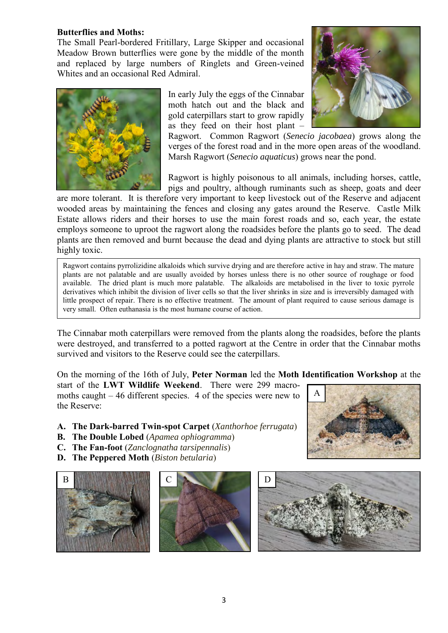#### **Butterflies and Moths:**

The Small Pearl-bordered Fritillary, Large Skipper and occasional Meadow Brown butterflies were gone by the middle of the month and replaced by large numbers of Ringlets and Green-veined Whites and an occasional Red Admiral.



In early July the eggs of the Cinnabar moth hatch out and the black and gold caterpillars start to grow rapidly as they feed on their host plant –



Ragwort. Common Ragwort (*Senecio jacobaea*) grows along the verges of the forest road and in the more open areas of the woodland. Marsh Ragwort (*Senecio aquaticus*) grows near the pond.

Ragwort is highly poisonous to all animals, including horses, cattle, pigs and poultry, although ruminants such as sheep, goats and deer

are more tolerant. It is therefore very important to keep livestock out of the Reserve and adjacent wooded areas by maintaining the fences and closing any gates around the Reserve. Castle Milk Estate allows riders and their horses to use the main forest roads and so, each year, the estate employs someone to uproot the ragwort along the roadsides before the plants go to seed. The dead plants are then removed and burnt because the dead and dying plants are attractive to stock but still highly toxic.

Ragwort contains pyrrolizidine alkaloids which survive drying and are therefore active in hay and straw. The mature plants are not palatable and are usually avoided by horses unless there is no other source of roughage or food available. The dried plant is much more palatable. The alkaloids are metabolised in the liver to toxic pyrrole derivatives which inhibit the division of liver cells so that the liver shrinks in size and is irreversibly damaged with little prospect of repair. There is no effective treatment. The amount of plant required to cause serious damage is very small. Often euthanasia is the most humane course of action.

The Cinnabar moth caterpillars were removed from the plants along the roadsides, before the plants were destroyed, and transferred to a potted ragwort at the Centre in order that the Cinnabar moths survived and visitors to the Reserve could see the caterpillars.

On the morning of the 16th of July, **Peter Norman** led the **Moth Identification Workshop** at the

start of the **LWT Wildlife Weekend**. There were 299 macromoths caught – 46 different species. 4 of the species were new to the Reserve:

- **A. The Dark-barred Twin-spot Carpet** (*Xanthorhoe ferrugata*)
- **B. The Double Lobed** (*Apamea ophiogramma*)
- **C. The Fan-foot** (*Zanclognatha tarsipennalis*)
- **D. The Peppered Moth** (*Biston betularia*)



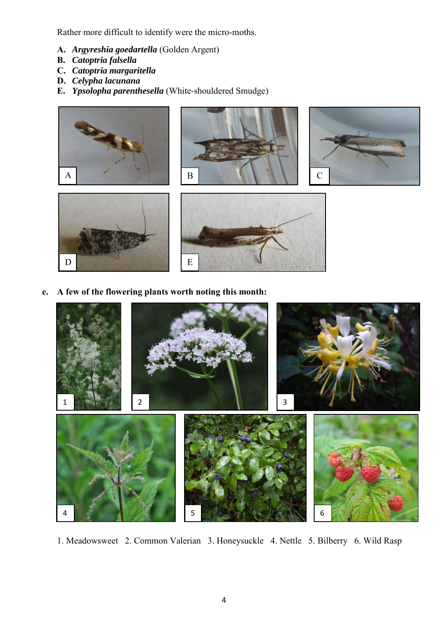Rather more difficult to identify were the micro-moths.

- **A.** *Argyreshia goedartella* (Golden Argent)
- **B.** *Catoptria falsella*
- **C.** *Catoptria margaritella*
- **D.** *Celypha lacunana*
- **E.** *Ypsolopha parenthesella* (White-shouldered Smudge)





 **e. A few of the flowering plants worth noting this month:**



1. Meadowsweet 2. Common Valerian 3. Honeysuckle 4. Nettle 5. Bilberry 6. Wild Rasp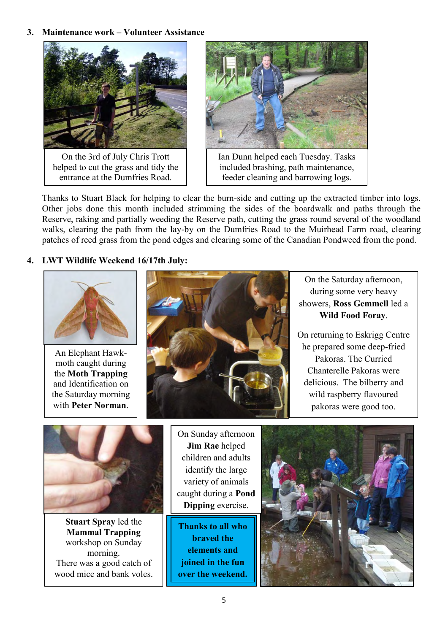## **3. Maintenance work – Volunteer Assistance**



On the 3rd of July Chris Trott helped to cut the grass and tidy the entrance at the Dumfries Road.



Ian Dunn helped each Tuesday. Tasks included brashing, path maintenance, feeder cleaning and barrowing logs.

Thanks to Stuart Black for helping to clear the burn-side and cutting up the extracted timber into logs. Other jobs done this month included strimming the sides of the boardwalk and paths through the Reserve, raking and partially weeding the Reserve path, cutting the grass round several of the woodland walks, clearing the path from the lay-by on the Dumfries Road to the Muirhead Farm road, clearing patches of reed grass from the pond edges and clearing some of the Canadian Pondweed from the pond.

## **4. LWT Wildlife Weekend 16/17th July:**



An Elephant Hawkmoth caught during the **Moth Trapping** and Identification on the Saturday morning with **Peter Norman**.



 showers, **Ross Gemmell** led a On the Saturday afternoon, during some very heavy **Wild Food Foray**.

On returning to Eskrigg Centre he prepared some deep-fried Pakoras. The Curried Chanterelle Pakoras were delicious. The bilberry and wild raspberry flavoured pakoras were good too.



**Stuart Spray** led the **Mammal Trapping** workshop on Sunday morning. There was a good catch of wood mice and bank voles.

On Sunday afternoon **Jim Rae** helped children and adults identify the large variety of animals caught during a **Pond Dipping** exercise.

**Thanks to all who braved the elements and joined in the fun over the weekend.**

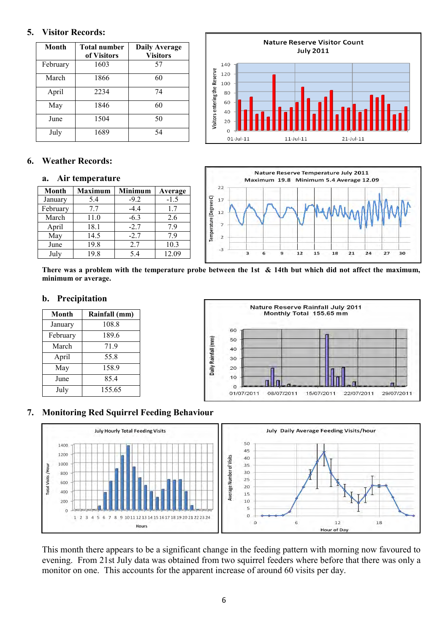### **5. Visitor Records:**

| Month    | <b>Total number</b><br>of Visitors | <b>Daily Average</b><br><b>Visitors</b> |
|----------|------------------------------------|-----------------------------------------|
| February | 1603                               | 57                                      |
| March    | 1866                               | 60                                      |
| April    | 2234                               | 74                                      |
| May      | 1846                               | 60                                      |
| June     | 1504                               | 50                                      |
| July     | 1689                               | 54                                      |



## **6. Weather Records:**

#### **a. Air temperature**

| <b>Month</b> | <b>Maximum</b> | Minimum | Average |
|--------------|----------------|---------|---------|
| January      | 5.4            | $-9.2$  | $-1.5$  |
| February     | 7.7            | $-44$   | 1.7     |
| March        | 11.0           | $-6.3$  | 2.6     |
| April        | 18.1           | $-2.7$  | 7.9     |
| May          | 14.5           | $-2.7$  | 7.9     |
| June         | 19.8           | 2.7     | 10.3    |
| July         | 19.8           | 5.4     | 12.09   |



**There was a problem with the temperature probe between the 1st & 14th but which did not affect the maximum, minimum or average.** 

#### **b. Precipitation**

| <b>Month</b> | Rainfall (mm) |
|--------------|---------------|
| January      | 108.8         |
| February     | 189.6         |
| March        | 71.9          |
| April        | 55.8          |
| May          | 158.9         |
| June         | 85.4          |
| July         | 155.65        |



#### **7. Monitoring Red Squirrel Feeding Behaviour**



This month there appears to be a significant change in the feeding pattern with morning now favoured to evening. From 21st July data was obtained from two squirrel feeders where before that there was only a monitor on one. This accounts for the apparent increase of around 60 visits per day.